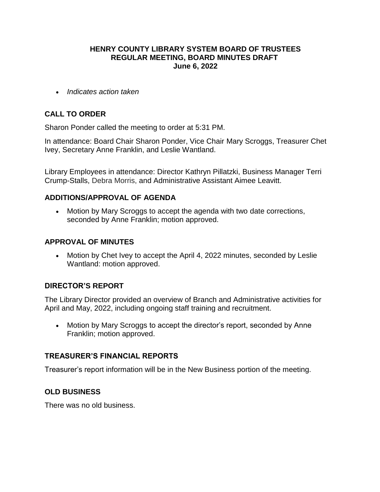## **HENRY COUNTY LIBRARY SYSTEM BOARD OF TRUSTEES REGULAR MEETING, BOARD MINUTES DRAFT June 6, 2022**

*Indicates action taken*

# **CALL TO ORDER**

Sharon Ponder called the meeting to order at 5:31 PM.

In attendance: Board Chair Sharon Ponder, Vice Chair Mary Scroggs, Treasurer Chet Ivey, Secretary Anne Franklin, and Leslie Wantland.

Library Employees in attendance: Director Kathryn Pillatzki, Business Manager Terri Crump-Stalls, Debra Morris, and Administrative Assistant Aimee Leavitt.

## **ADDITIONS/APPROVAL OF AGENDA**

 Motion by Mary Scroggs to accept the agenda with two date corrections, seconded by Anne Franklin; motion approved.

## **APPROVAL OF MINUTES**

• Motion by Chet Ivey to accept the April 4, 2022 minutes, seconded by Leslie Wantland: motion approved.

# **DIRECTOR'S REPORT**

The Library Director provided an overview of Branch and Administrative activities for April and May, 2022, including ongoing staff training and recruitment.

• Motion by Mary Scroggs to accept the director's report, seconded by Anne Franklin; motion approved.

## **TREASURER'S FINANCIAL REPORTS**

Treasurer's report information will be in the New Business portion of the meeting.

## **OLD BUSINESS**

There was no old business.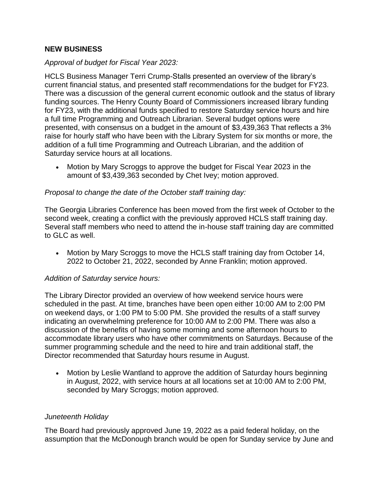## **NEW BUSINESS**

## *Approval of budget for Fiscal Year 2023:*

HCLS Business Manager Terri Crump-Stalls presented an overview of the library's current financial status, and presented staff recommendations for the budget for FY23. There was a discussion of the general current economic outlook and the status of library funding sources. The Henry County Board of Commissioners increased library funding for FY23, with the additional funds specified to restore Saturday service hours and hire a full time Programming and Outreach Librarian. Several budget options were presented, with consensus on a budget in the amount of \$3,439,363 That reflects a 3% raise for hourly staff who have been with the Library System for six months or more, the addition of a full time Programming and Outreach Librarian, and the addition of Saturday service hours at all locations.

 Motion by Mary Scroggs to approve the budget for Fiscal Year 2023 in the amount of \$3,439,363 seconded by Chet Ivey; motion approved.

## *Proposal to change the date of the October staff training day:*

The Georgia Libraries Conference has been moved from the first week of October to the second week, creating a conflict with the previously approved HCLS staff training day. Several staff members who need to attend the in-house staff training day are committed to GLC as well.

 Motion by Mary Scroggs to move the HCLS staff training day from October 14, 2022 to October 21, 2022, seconded by Anne Franklin; motion approved.

## *Addition of Saturday service hours:*

The Library Director provided an overview of how weekend service hours were scheduled in the past. At time, branches have been open either 10:00 AM to 2:00 PM on weekend days, or 1:00 PM to 5:00 PM. She provided the results of a staff survey indicating an overwhelming preference for 10:00 AM to 2:00 PM. There was also a discussion of the benefits of having some morning and some afternoon hours to accommodate library users who have other commitments on Saturdays. Because of the summer programming schedule and the need to hire and train additional staff, the Director recommended that Saturday hours resume in August.

 Motion by Leslie Wantland to approve the addition of Saturday hours beginning in August, 2022, with service hours at all locations set at 10:00 AM to 2:00 PM, seconded by Mary Scroggs; motion approved.

## *Juneteenth Holiday*

The Board had previously approved June 19, 2022 as a paid federal holiday, on the assumption that the McDonough branch would be open for Sunday service by June and